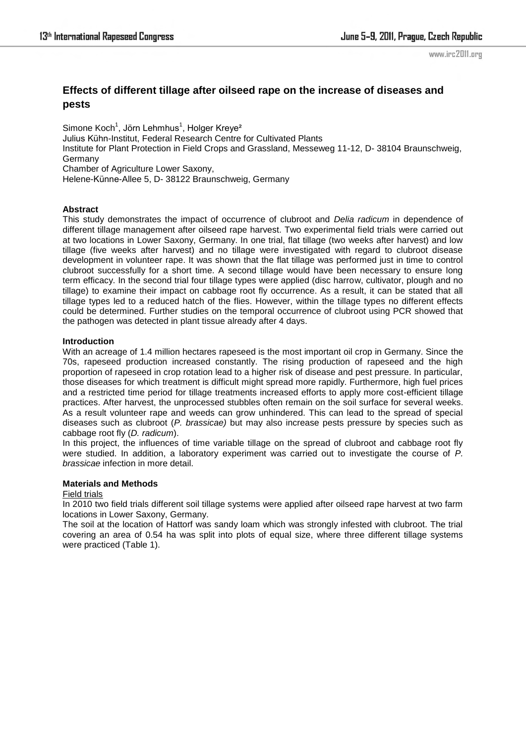www.irc2011.org

# **Effects of different tillage after oilseed rape on the increase of diseases and pests**

Simone Koch $^1$ , Jörn Lehmhus $^1$ , Holger Kreye $^2$ Julius Kühn-Institut, Federal Research Centre for Cultivated Plants Institute for Plant Protection in Field Crops and Grassland, Messeweg 11-12, D- 38104 Braunschweig, Germany Chamber of Agriculture Lower Saxony, Helene-Künne-Allee 5, D- 38122 Braunschweig, Germany

## **Abstract**

This study demonstrates the impact of occurrence of clubroot and *Delia radicum* in dependence of different tillage management after oilseed rape harvest. Two experimental field trials were carried out at two locations in Lower Saxony, Germany. In one trial, flat tillage (two weeks after harvest) and low tillage (five weeks after harvest) and no tillage were investigated with regard to clubroot disease development in volunteer rape. It was shown that the flat tillage was performed just in time to control clubroot successfully for a short time. A second tillage would have been necessary to ensure long term efficacy. In the second trial four tillage types were applied (disc harrow, cultivator, plough and no tillage) to examine their impact on cabbage root fly occurrence. As a result, it can be stated that all tillage types led to a reduced hatch of the flies. However, within the tillage types no different effects could be determined. Further studies on the temporal occurrence of clubroot using PCR showed that the pathogen was detected in plant tissue already after 4 days.

#### **Introduction**

With an acreage of 1.4 million hectares rapeseed is the most important oil crop in Germany. Since the 70s, rapeseed production increased constantly. The rising production of rapeseed and the high proportion of rapeseed in crop rotation lead to a higher risk of disease and pest pressure. In particular, those diseases for which treatment is difficult might spread more rapidly. Furthermore, high fuel prices and a restricted time period for tillage treatments increased efforts to apply more cost-efficient tillage practices. After harvest, the unprocessed stubbles often remain on the soil surface for several weeks. As a result volunteer rape and weeds can grow unhindered. This can lead to the spread of special diseases such as clubroot (*P. brassicae)* but may also increase pests pressure by species such as cabbage root fly (*D. radicum*).

In this project, the influences of time variable tillage on the spread of clubroot and cabbage root fly were studied. In addition, a laboratory experiment was carried out to investigate the course of *P. brassicae* infection in more detail.

## **Materials and Methods**

#### Field trials

In 2010 two field trials different soil tillage systems were applied after oilseed rape harvest at two farm locations in Lower Saxony, Germany.

The soil at the location of Hattorf was sandy loam which was strongly infested with clubroot. The trial covering an area of 0.54 ha was split into plots of equal size, where three different tillage systems were practiced (Table 1).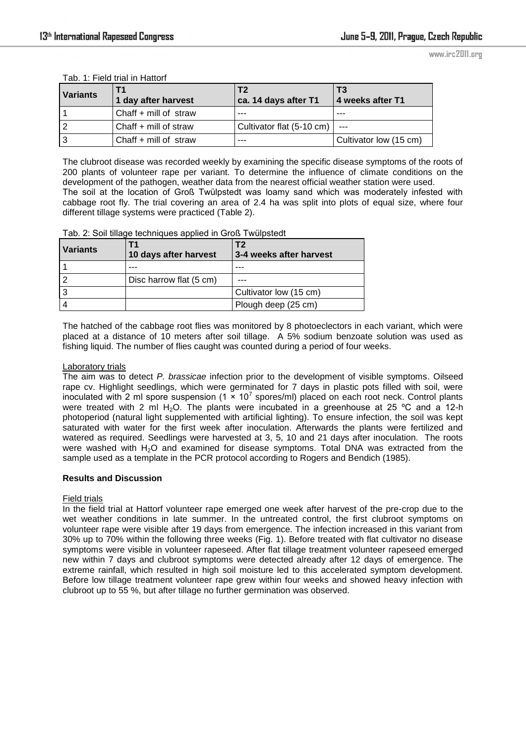www.irc2011.org

| <b>Variants</b> | 1 day after harvest   | T2<br>ca. 14 days after T1 | l T3<br>4 weeks after T1 |
|-----------------|-----------------------|----------------------------|--------------------------|
|                 | Chaff + mill of straw | ---                        | ---                      |
| 2 ا             | Chaff + mill of straw | Cultivator flat (5-10 cm)  |                          |
| Iз              | Chaff + mill of straw | ---                        | Cultivator low (15 cm)   |

Tab. 1: Field trial in Hattorf

The clubroot disease was recorded weekly by examining the specific disease symptoms of the roots of 200 plants of volunteer rape per variant. To determine the influence of climate conditions on the development of the pathogen, weather data from the nearest official weather station were used. The soil at the location of Groß Twülpstedt was loamy sand which was moderately infested with cabbage root fly. The trial covering an area of 2.4 ha was split into plots of equal size, where four different tillage systems were practiced (Table 2).

Tab. 2: Soil tillage techniques applied in Groß Twülpstedt

| <b>Variants</b> | 10 days after harvest   | T <sub>2</sub><br>3-4 weeks after harvest |
|-----------------|-------------------------|-------------------------------------------|
|                 |                         |                                           |
| 12              | Disc harrow flat (5 cm) |                                           |
| l 3             |                         | Cultivator low (15 cm)                    |
|                 |                         | Plough deep (25 cm)                       |

The hatched of the cabbage root flies was monitored by 8 photoeclectors in each variant, which were placed at a distance of 10 meters after soil tillage. A 5% sodium benzoate solution was used as fishing liquid. The number of flies caught was counted during a period of four weeks.

#### Laboratory trials

The aim was to detect *P. brassicae* infection prior to the development of visible symptoms. Oilseed rape cv. Highlight seedlings, which were germinated for 7 days in plastic pots filled with soil, were inoculated with 2 ml spore suspension (1  $\times$  10<sup>7</sup> spores/ml) placed on each root neck. Control plants were treated with 2 ml H<sub>2</sub>O. The plants were incubated in a greenhouse at 25 °C and a 12-h photoperiod (natural light supplemented with artificial lighting). To ensure infection, the soil was kept saturated with water for the first week after inoculation. Afterwards the plants were fertilized and watered as required. Seedlings were harvested at 3, 5, 10 and 21 days after inoculation. The roots were washed with  $H_2O$  and examined for disease symptoms. Total DNA was extracted from the sample used as a template in the PCR protocol according to Rogers and Bendich (1985).

#### **Results and Discussion**

#### Field trials

In the field trial at Hattorf volunteer rape emerged one week after harvest of the pre-crop due to the wet weather conditions in late summer. In the untreated control, the first clubroot symptoms on volunteer rape were visible after 19 days from emergence. The infection increased in this variant from 30% up to 70% within the following three weeks (Fig. 1). Before treated with flat cultivator no disease symptoms were visible in volunteer rapeseed. After flat tillage treatment volunteer rapeseed emerged new within 7 days and clubroot symptoms were detected already after 12 days of emergence. The extreme rainfall, which resulted in high soil moisture led to this accelerated symptom development. Before low tillage treatment volunteer rape grew within four weeks and showed heavy infection with clubroot up to 55 %, but after tillage no further germination was observed.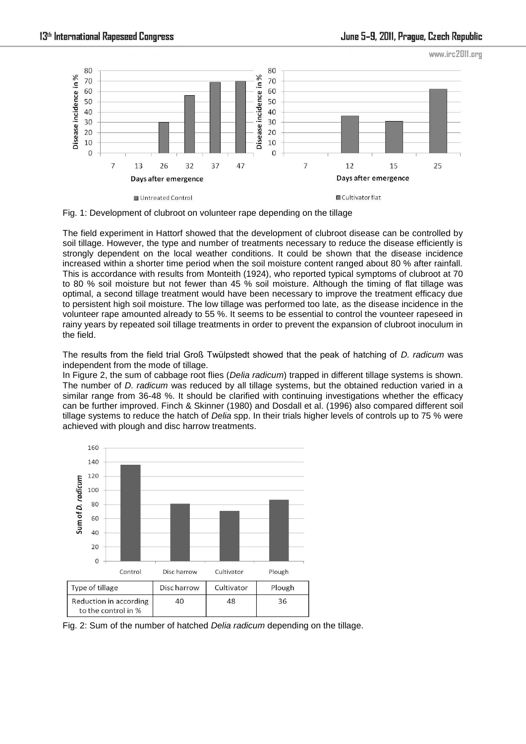

Fig. 1: Development of clubroot on volunteer rape depending on the tillage

The field experiment in Hattorf showed that the development of clubroot disease can be controlled by soil tillage. However, the type and number of treatments necessary to reduce the disease efficiently is strongly dependent on the local weather conditions. It could be shown that the disease incidence increased within a shorter time period when the soil moisture content ranged about 80 % after rainfall. This is accordance with results from Monteith (1924), who reported typical symptoms of clubroot at 70 to 80 % soil moisture but not fewer than 45 % soil moisture. Although the timing of flat tillage was optimal, a second tillage treatment would have been necessary to improve the treatment efficacy due to persistent high soil moisture. The low tillage was performed too late, as the disease incidence in the volunteer rape amounted already to 55 %. It seems to be essential to control the vounteer rapeseed in rainy years by repeated soil tillage treatments in order to prevent the expansion of clubroot inoculum in the field.

The results from the field trial Groß Twülpstedt showed that the peak of hatching of *D. radicum* was independent from the mode of tillage.

In Figure 2, the sum of cabbage root flies (*Delia radicum*) trapped in different tillage systems is shown. The number of *D. radicum* was reduced by all tillage systems, but the obtained reduction varied in a similar range from 36-48 %. It should be clarified with continuing investigations whether the efficacy can be further improved. Finch & Skinner (1980) and Dosdall et al. (1996) also compared different soil tillage systems to reduce the hatch of *Delia* spp. In their trials higher levels of controls up to 75 % were achieved with plough and disc harrow treatments.



Fig. 2: Sum of the number of hatched *Delia radicum* depending on the tillage.